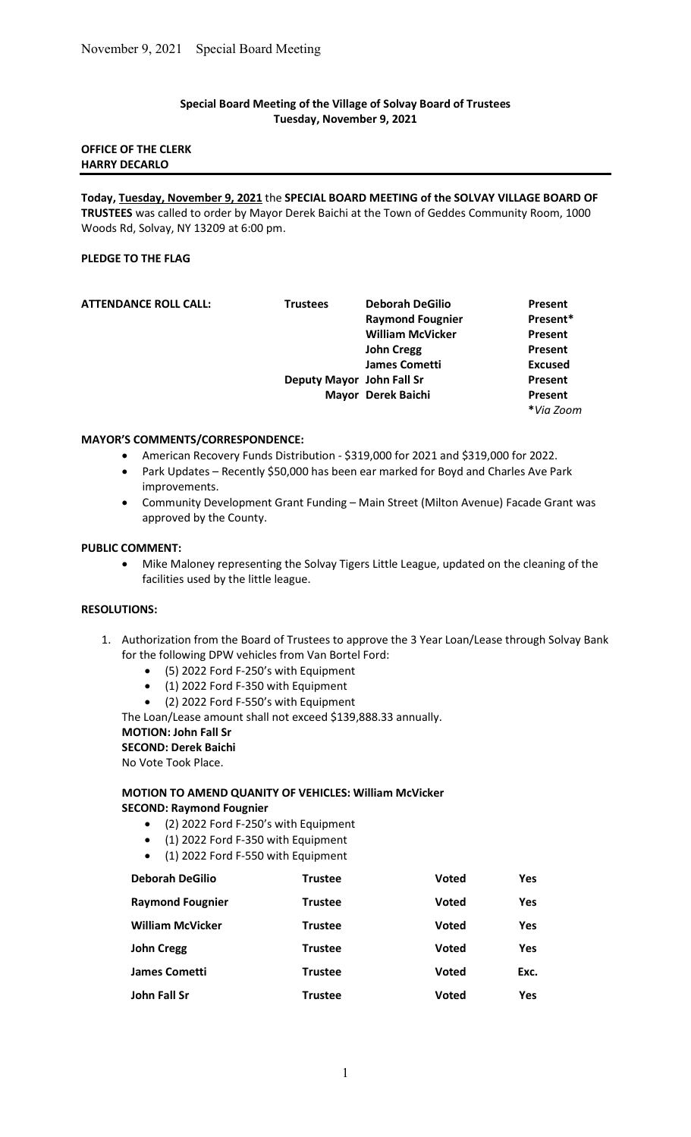### Special Board Meeting of the Village of Solvay Board of Trustees Tuesday, November 9, 2021

### OFFICE OF THE CLERK HARRY DECARLO

Today, Tuesday, November 9, 2021 the SPECIAL BOARD MEETING of the SOLVAY VILLAGE BOARD OF TRUSTEES was called to order by Mayor Derek Baichi at the Town of Geddes Community Room, 1000 Woods Rd, Solvay, NY 13209 at 6:00 pm.

# PLEDGE TO THE FLAG

| <b>ATTENDANCE ROLL CALL:</b> | <b>Trustees</b>           | <b>Deborah DeGilio</b>  | Present        |
|------------------------------|---------------------------|-------------------------|----------------|
|                              |                           | <b>Raymond Fougnier</b> | Present*       |
|                              |                           | <b>William McVicker</b> | Present        |
|                              |                           | <b>John Cregg</b>       | Present        |
|                              |                           | <b>James Cometti</b>    | <b>Excused</b> |
|                              | Deputy Mayor John Fall Sr |                         | Present        |
|                              |                           | Mayor Derek Baichi      | Present        |
|                              |                           |                         | *Via Zoom      |

#### MAYOR'S COMMENTS/CORRESPONDENCE:

- American Recovery Funds Distribution \$319,000 for 2021 and \$319,000 for 2022.
- Park Updates Recently \$50,000 has been ear marked for Boyd and Charles Ave Park improvements.
- Community Development Grant Funding Main Street (Milton Avenue) Facade Grant was approved by the County.

#### PUBLIC COMMENT:

 Mike Maloney representing the Solvay Tigers Little League, updated on the cleaning of the facilities used by the little league.

#### RESOLUTIONS:

- 1. Authorization from the Board of Trustees to approve the 3 Year Loan/Lease through Solvay Bank for the following DPW vehicles from Van Bortel Ford:
	- (5) 2022 Ford F-250's with Equipment
	- (1) 2022 Ford F-350 with Equipment
	- (2) 2022 Ford F-550's with Equipment

The Loan/Lease amount shall not exceed \$139,888.33 annually.

# MOTION: John Fall Sr

SECOND: Derek Baichi

No Vote Took Place.

# MOTION TO AMEND QUANITY OF VEHICLES: William McVicker SECOND: Raymond Fougnier

- (2) 2022 Ford F-250's with Equipment
- (1) 2022 Ford F-350 with Equipment
- (1) 2022 Ford F-550 with Equipment

| <b>Deborah DeGilio</b>  | <b>Trustee</b> | Voted        | Yes        |
|-------------------------|----------------|--------------|------------|
| <b>Raymond Fougnier</b> | <b>Trustee</b> | <b>Voted</b> | Yes        |
| <b>William McVicker</b> | <b>Trustee</b> | <b>Voted</b> | Yes        |
| <b>John Cregg</b>       | <b>Trustee</b> | <b>Voted</b> | <b>Yes</b> |
| <b>James Cometti</b>    | <b>Trustee</b> | <b>Voted</b> | Exc.       |
| John Fall Sr            | Trustee        | <b>Voted</b> | Yes        |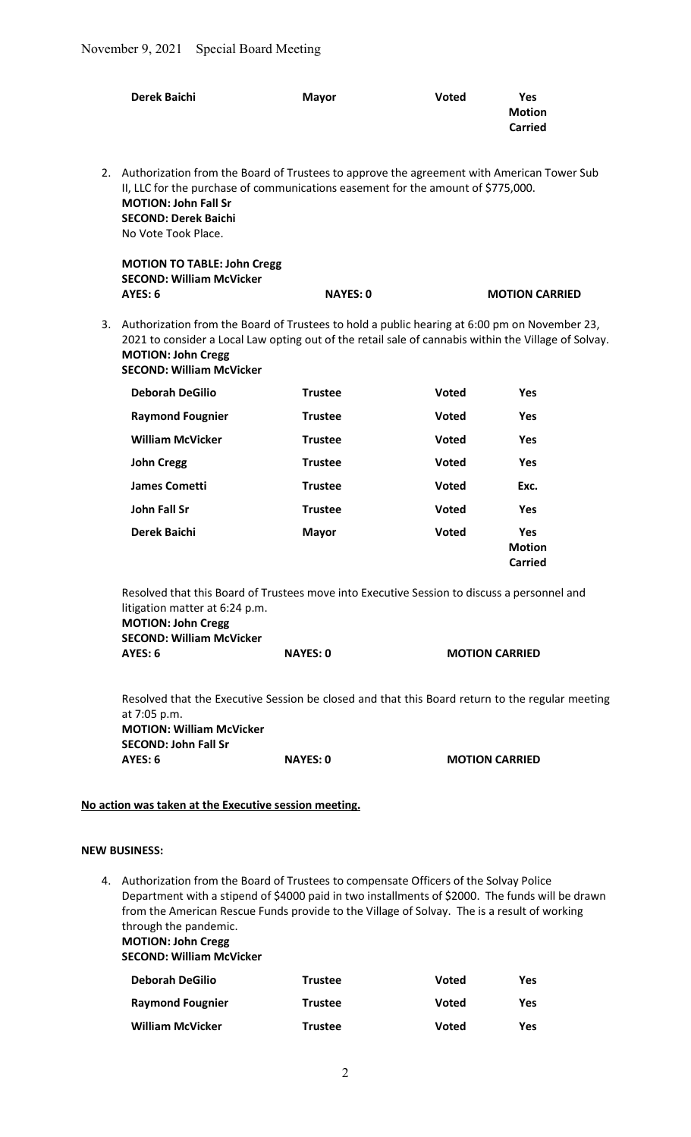|    | <b>Derek Baichi</b>                                                                                                                                                                                                                                                                                                                                                                | <b>Mayor</b>    | <b>Voted</b> | <b>Yes</b><br><b>Motion</b><br><b>Carried</b> |
|----|------------------------------------------------------------------------------------------------------------------------------------------------------------------------------------------------------------------------------------------------------------------------------------------------------------------------------------------------------------------------------------|-----------------|--------------|-----------------------------------------------|
| 2. | Authorization from the Board of Trustees to approve the agreement with American Tower Sub<br>II, LLC for the purchase of communications easement for the amount of \$775,000.<br><b>MOTION: John Fall Sr</b><br><b>SECOND: Derek Baichi</b><br>No Vote Took Place.                                                                                                                 |                 |              |                                               |
|    | <b>MOTION TO TABLE: John Cregg</b>                                                                                                                                                                                                                                                                                                                                                 |                 |              |                                               |
|    | <b>SECOND: William McVicker</b><br>AYES: 6                                                                                                                                                                                                                                                                                                                                         | <b>NAYES: 0</b> |              | <b>MOTION CARRIED</b>                         |
| 3. | Authorization from the Board of Trustees to hold a public hearing at 6:00 pm on November 23,<br>2021 to consider a Local Law opting out of the retail sale of cannabis within the Village of Solvay.<br><b>MOTION: John Cregg</b><br><b>SECOND: William McVicker</b>                                                                                                               |                 |              |                                               |
|    | <b>Deborah DeGilio</b>                                                                                                                                                                                                                                                                                                                                                             | <b>Trustee</b>  | <b>Voted</b> | <b>Yes</b>                                    |
|    | <b>Raymond Fougnier</b>                                                                                                                                                                                                                                                                                                                                                            | <b>Trustee</b>  | <b>Voted</b> | <b>Yes</b>                                    |
|    | <b>William McVicker</b>                                                                                                                                                                                                                                                                                                                                                            | <b>Trustee</b>  | <b>Voted</b> | <b>Yes</b>                                    |
|    | <b>John Cregg</b>                                                                                                                                                                                                                                                                                                                                                                  | <b>Trustee</b>  | <b>Voted</b> | <b>Yes</b>                                    |
|    | <b>James Cometti</b>                                                                                                                                                                                                                                                                                                                                                               | <b>Trustee</b>  | <b>Voted</b> | Exc.                                          |
|    | <b>John Fall Sr</b>                                                                                                                                                                                                                                                                                                                                                                | <b>Trustee</b>  | <b>Voted</b> | Yes                                           |
|    | <b>Derek Baichi</b>                                                                                                                                                                                                                                                                                                                                                                | <b>Mayor</b>    | <b>Voted</b> | Yes<br><b>Motion</b><br><b>Carried</b>        |
|    | Resolved that this Board of Trustees move into Executive Session to discuss a personnel and<br>litigation matter at 6:24 p.m.<br><b>MOTION: John Cregg</b><br><b>SECOND: William McVicker</b><br>AYES: 6                                                                                                                                                                           | <b>NAYES: 0</b> |              | <b>MOTION CARRIED</b>                         |
|    | Resolved that the Executive Session be closed and that this Board return to the regular meeting<br>at 7:05 p.m.<br><b>MOTION: William McVicker</b><br><b>SECOND: John Fall Sr</b>                                                                                                                                                                                                  |                 |              |                                               |
|    | AYES: 6                                                                                                                                                                                                                                                                                                                                                                            | <b>NAYES: 0</b> |              | <b>MOTION CARRIED</b>                         |
|    | No action was taken at the Executive session meeting.                                                                                                                                                                                                                                                                                                                              |                 |              |                                               |
|    | <b>NEW BUSINESS:</b>                                                                                                                                                                                                                                                                                                                                                               |                 |              |                                               |
|    | 4. Authorization from the Board of Trustees to compensate Officers of the Solvay Police<br>Department with a stipend of \$4000 paid in two installments of \$2000. The funds will be drawn<br>from the American Rescue Funds provide to the Village of Solvay. The is a result of working<br>through the pandemic.<br><b>MOTION: John Cregg</b><br><b>SECOND: William McVicker</b> |                 |              |                                               |
|    | <b>Deborah DeGilio</b>                                                                                                                                                                                                                                                                                                                                                             | <b>Trustee</b>  | Voted        | <b>Yes</b>                                    |
|    | <b>Raymond Fougnier</b>                                                                                                                                                                                                                                                                                                                                                            | <b>Trustee</b>  | Voted        | <b>Yes</b>                                    |
|    | <b>William McVicker</b>                                                                                                                                                                                                                                                                                                                                                            | <b>Trustee</b>  | <b>Voted</b> | <b>Yes</b>                                    |